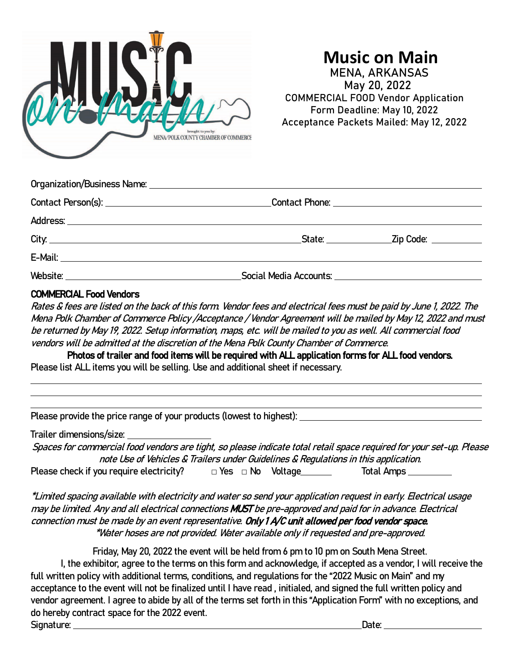

# **Music on Main** MENA, ARKANSAS

 May 20, 2022 COMMERCIAL FOOD Vendor Application Form Deadline: May 10, 2022 Acceptance Packets Mailed: May 12, 2022

|  | <u> Contact Phone: ___________________________________</u> |
|--|------------------------------------------------------------|
|  |                                                            |
|  | _State: __________________Zip Code: ____________           |
|  |                                                            |
|  |                                                            |

#### COMMERCIAL Food Vendors

Rates & fees are listed on the back of this form. Vendor fees and electrical fees must be paid by June 1, 2022. The Mena Polk Chamber of Commerce Policy /Acceptance / Vendor Agreement will be mailed by May 12, 2022 and must be returned by May 19, 2022. Setup information, maps, etc. will be mailed to you as well. All commercial food vendors will be admitted at the discretion of the Mena Polk County Chamber of Commerce.

Photos of trailer and food items will be required with ALL application forms for ALL food vendors. Please list ALL items you will be selling. Use and additional sheet if necessary.

Please provide the price range of your products (lowest to highest):

Trailer dimensions/size:

Spaces for commercial food vendors are tight, so please indicate total retail space required for your set-up. Please note Use of Vehicles & Trailers under Guidelines & Regulations in this application. Please check if you require electricity?  $\Box$  Yes  $\Box$  No Voltage Total Amps Total Amps

\*Limited spacing available with electricity and water so send your application request in early. Electrical usage may be limited. Any and all electrical connections MUST be pre-approved and paid for in advance. Electrical connection must be made by an event representative. Only 1 A/C unit allowed per food vendor space. \*Water hoses are not provided. Water available only if requested and pre-approved.

Friday, May 20, 2022 the event will be held from 6 pm to 10 pm on South Mena Street. I, the exhibitor, agree to the terms on this form and acknowledge, if accepted as a vendor, I will receive the full written policy with additional terms, conditions, and regulations for the "2022 Music on Main" and my acceptance to the event will not be finalized until I have read , initialed, and signed the full written policy and vendor agreement. I agree to abide by all of the terms set forth in this "Application Form" with no exceptions, and do hereby contract space for the 2022 event. Signature: Date: